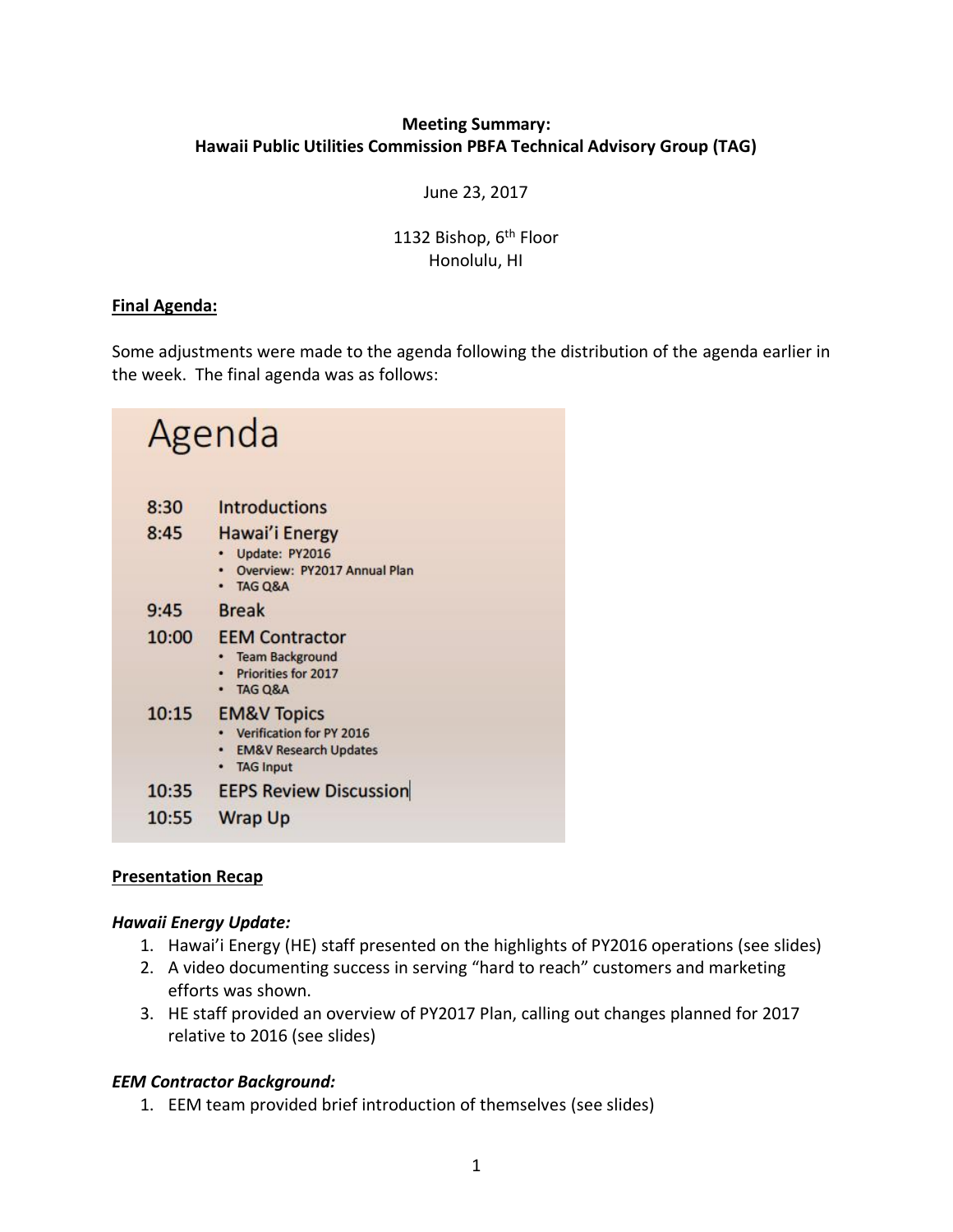## **Meeting Summary: Hawaii Public Utilities Commission PBFA Technical Advisory Group (TAG)**

June 23, 2017

## 1132 Bishop, 6<sup>th</sup> Floor Honolulu, HI

#### **Final Agenda:**

Some adjustments were made to the agenda following the distribution of the agenda earlier in the week. The final agenda was as follows:

| Agenda |                                                                                                                 |
|--------|-----------------------------------------------------------------------------------------------------------------|
| 8:30   | <b>Introductions</b>                                                                                            |
| 8:45   | Hawai'i Energy<br>Update: PY2016<br>Overview: PY2017 Annual Plan<br>· TAG Q&A                                   |
| 9:45   | <b>Break</b>                                                                                                    |
| 10:00  | <b>EEM Contractor</b><br><b>Team Background</b><br>Priorities for 2017<br>TAG Q&A                               |
| 10:15  | <b>EM&amp;V Topics</b><br>Verification for PY 2016<br><b>EM&amp;V Research Updates</b><br><b>TAG Input</b><br>٠ |
| 10:35  | <b>EEPS Review Discussion</b>                                                                                   |
| 10:55  | <b>Wrap Up</b>                                                                                                  |

### **Presentation Recap**

#### *Hawaii Energy Update:*

- 1. Hawai'i Energy (HE) staff presented on the highlights of PY2016 operations (see slides)
- 2. A video documenting success in serving "hard to reach" customers and marketing efforts was shown.
- 3. HE staff provided an overview of PY2017 Plan, calling out changes planned for 2017 relative to 2016 (see slides)

### *EEM Contractor Background:*

1. EEM team provided brief introduction of themselves (see slides)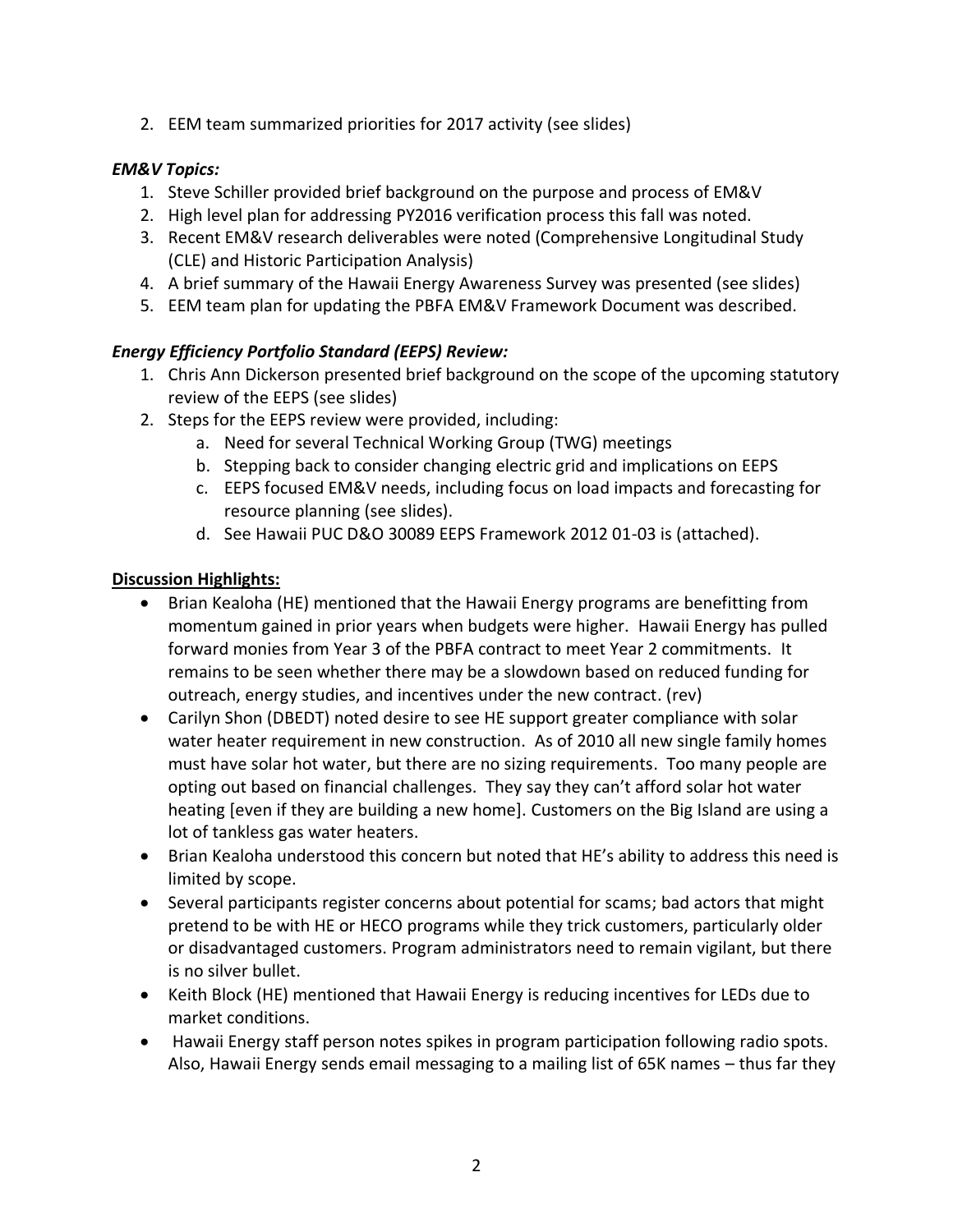2. EEM team summarized priorities for 2017 activity (see slides)

# *EM&V Topics:*

- 1. Steve Schiller provided brief background on the purpose and process of EM&V
- 2. High level plan for addressing PY2016 verification process this fall was noted.
- 3. Recent EM&V research deliverables were noted (Comprehensive Longitudinal Study (CLE) and Historic Participation Analysis)
- 4. A brief summary of the Hawaii Energy Awareness Survey was presented (see slides)
- 5. EEM team plan for updating the PBFA EM&V Framework Document was described.

# *Energy Efficiency Portfolio Standard (EEPS) Review:*

- 1. Chris Ann Dickerson presented brief background on the scope of the upcoming statutory review of the EEPS (see slides)
- 2. Steps for the EEPS review were provided, including:
	- a. Need for several Technical Working Group (TWG) meetings
	- b. Stepping back to consider changing electric grid and implications on EEPS
	- c. EEPS focused EM&V needs, including focus on load impacts and forecasting for resource planning (see slides).
	- d. See Hawaii PUC D&O 30089 EEPS Framework 2012 01-03 is (attached).

# **Discussion Highlights:**

- Brian Kealoha (HE) mentioned that the Hawaii Energy programs are benefitting from momentum gained in prior years when budgets were higher. Hawaii Energy has pulled forward monies from Year 3 of the PBFA contract to meet Year 2 commitments. It remains to be seen whether there may be a slowdown based on reduced funding for outreach, energy studies, and incentives under the new contract. (rev)
- Carilyn Shon (DBEDT) noted desire to see HE support greater compliance with solar water heater requirement in new construction. As of 2010 all new single family homes must have solar hot water, but there are no sizing requirements. Too many people are opting out based on financial challenges. They say they can't afford solar hot water heating [even if they are building a new home]. Customers on the Big Island are using a lot of tankless gas water heaters.
- Brian Kealoha understood this concern but noted that HE's ability to address this need is limited by scope.
- Several participants register concerns about potential for scams; bad actors that might pretend to be with HE or HECO programs while they trick customers, particularly older or disadvantaged customers. Program administrators need to remain vigilant, but there is no silver bullet.
- Keith Block (HE) mentioned that Hawaii Energy is reducing incentives for LEDs due to market conditions.
- Hawaii Energy staff person notes spikes in program participation following radio spots. Also, Hawaii Energy sends email messaging to a mailing list of 65K names – thus far they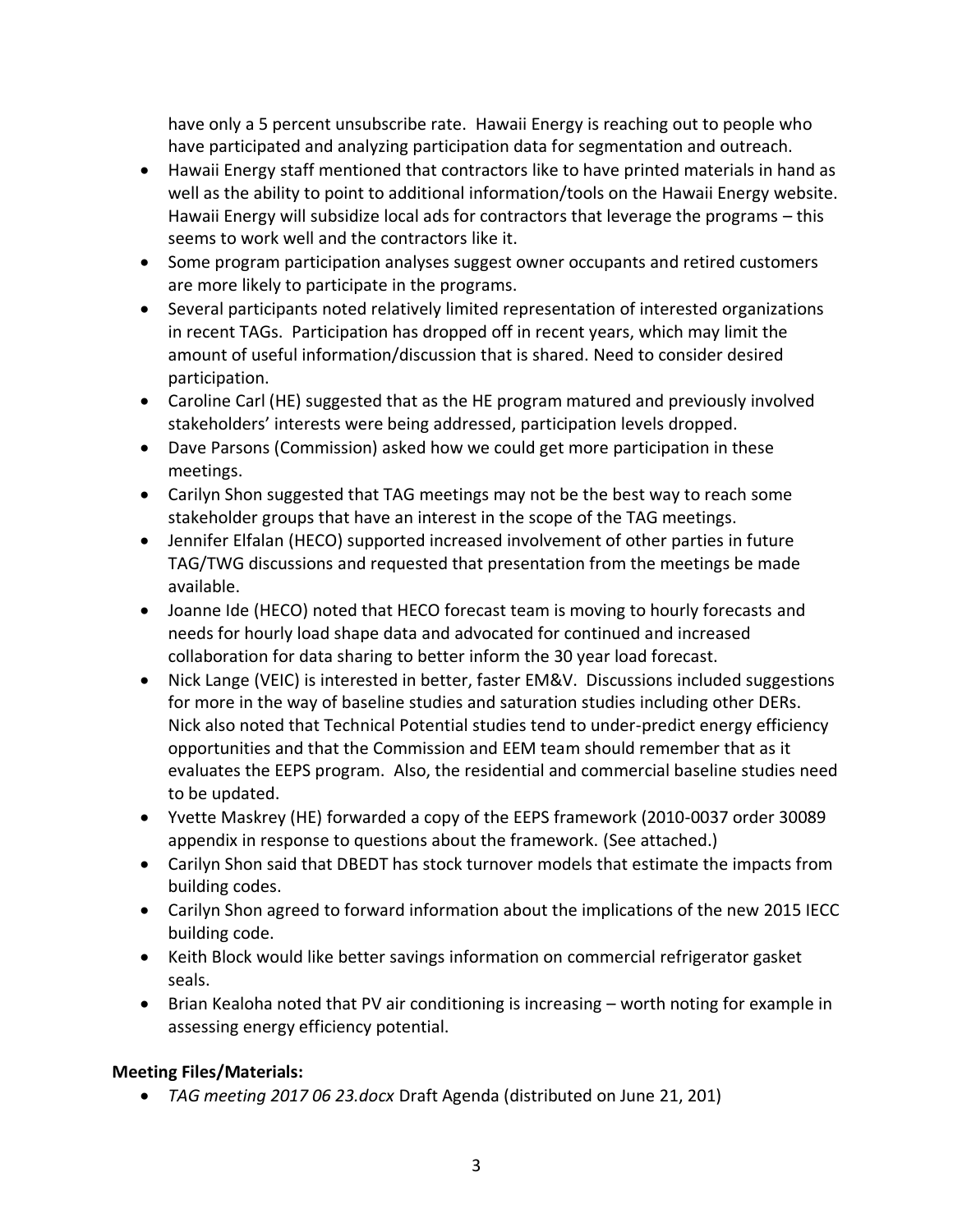have only a 5 percent unsubscribe rate. Hawaii Energy is reaching out to people who have participated and analyzing participation data for segmentation and outreach.

- Hawaii Energy staff mentioned that contractors like to have printed materials in hand as well as the ability to point to additional information/tools on the Hawaii Energy website. Hawaii Energy will subsidize local ads for contractors that leverage the programs – this seems to work well and the contractors like it.
- Some program participation analyses suggest owner occupants and retired customers are more likely to participate in the programs.
- Several participants noted relatively limited representation of interested organizations in recent TAGs. Participation has dropped off in recent years, which may limit the amount of useful information/discussion that is shared. Need to consider desired participation.
- Caroline Carl (HE) suggested that as the HE program matured and previously involved stakeholders' interests were being addressed, participation levels dropped.
- Dave Parsons (Commission) asked how we could get more participation in these meetings.
- Carilyn Shon suggested that TAG meetings may not be the best way to reach some stakeholder groups that have an interest in the scope of the TAG meetings.
- Jennifer Elfalan (HECO) supported increased involvement of other parties in future TAG/TWG discussions and requested that presentation from the meetings be made available.
- Joanne Ide (HECO) noted that HECO forecast team is moving to hourly forecasts and needs for hourly load shape data and advocated for continued and increased collaboration for data sharing to better inform the 30 year load forecast.
- Nick Lange (VEIC) is interested in better, faster EM&V. Discussions included suggestions for more in the way of baseline studies and saturation studies including other DERs. Nick also noted that Technical Potential studies tend to under-predict energy efficiency opportunities and that the Commission and EEM team should remember that as it evaluates the EEPS program. Also, the residential and commercial baseline studies need to be updated.
- Yvette Maskrey (HE) forwarded a copy of the EEPS framework (2010-0037 order 30089 appendix in response to questions about the framework. (See attached.)
- Carilyn Shon said that DBEDT has stock turnover models that estimate the impacts from building codes.
- Carilyn Shon agreed to forward information about the implications of the new 2015 IECC building code.
- Keith Block would like better savings information on commercial refrigerator gasket seals.
- Brian Kealoha noted that PV air conditioning is increasing worth noting for example in assessing energy efficiency potential.

# **Meeting Files/Materials:**

• *TAG meeting 2017 06 23.docx* Draft Agenda (distributed on June 21, 201)